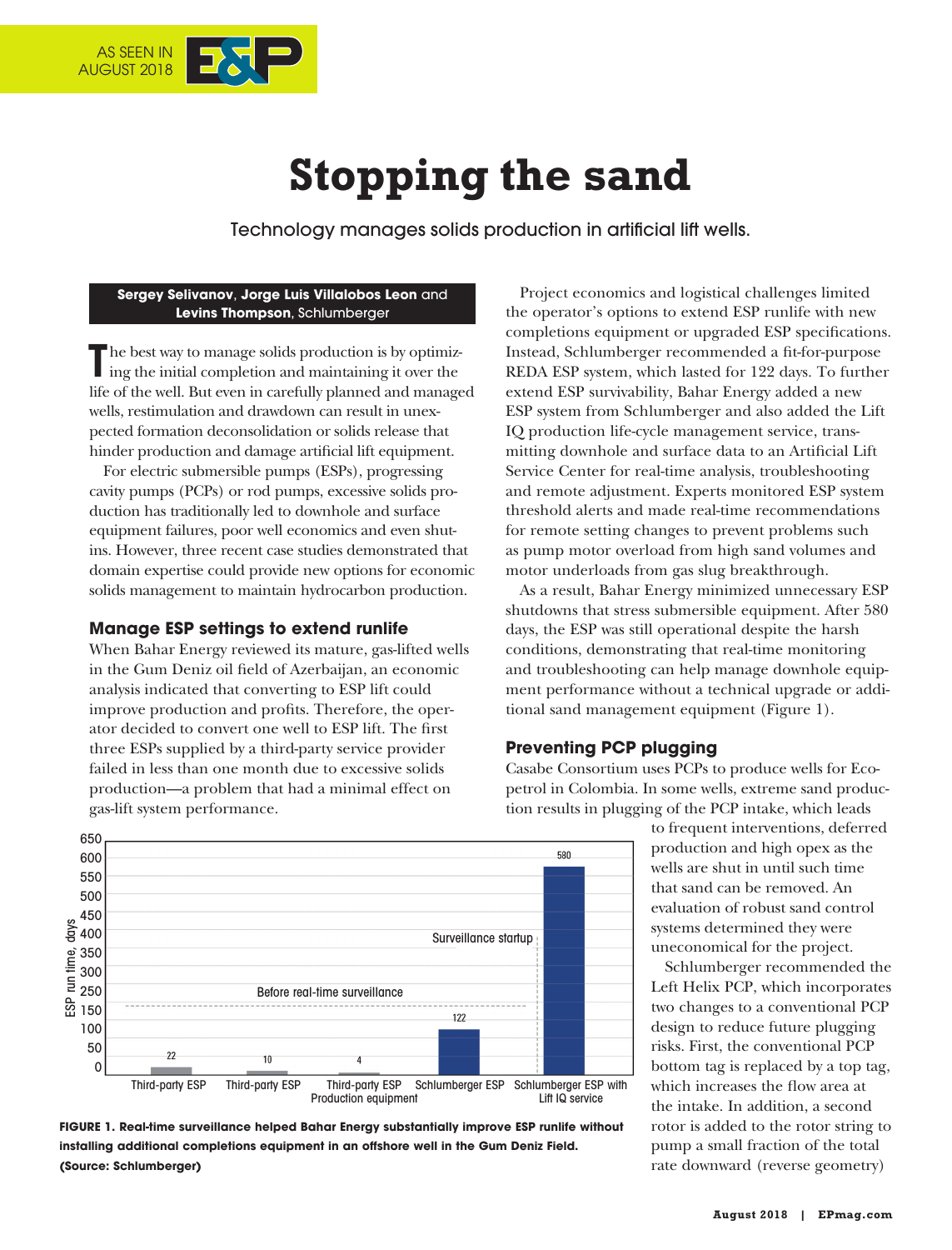

# **Stopping the sand**

Technology manages solids production in artificial lift wells.

## Sergey Selivanov, Jorge Luis Villalobos Leon and Levins Thompson, Schlumberger

The best way to manage solids production is by optimizing the initial completion and maintaining it over the life of the well. But even in carefully planned and managed pected formation deconsolidation or solids release that wells, restimulation and drawdown can result in unexhinder production and damage artificial lift equipment.

For electric submersible pumps (ESPs), progressing cavity pumps (PCPs) or rod pumps, excessive solids production-has traditionally led to downhole and surface ins. However, three recent case studies demonstrated that equipment failures, poor well economics and even shutdomain expertise could provide new options for economic solids management to maintain hydrocarbon production.

## **Manage ESP settings to extend runlife**

When Bahar Energy reviewed its mature, gas-lifted wells in the Gum Deniz oil field of Azerbaijan, an economic analysis indicated that converting to ESP lift could ator decided to convert one well to ESP lift. The first improve production and profits. Therefore, the operthree ESPs supplied by a third-party service provider failed in less than one month due to excessive solids production—a problem that had a minimal effect on gas-lift system performance.

Project economics and logistical challenges limited the operator's options to extend ESP runlife with new completions equipment or upgraded ESP specifications. Instead, Schlumberger recommended a fit-for-purpose REDA ESP system, which lasted for 122 days. To further extend ESP survivability, Bahar Energy added a new ESP system from Schlumberger and also added the Lift mitting downhole and surface data to an Artificial Lift IQ production life-cycle management service, trans-Service Center for real-time analysis, troubleshooting and remote adjustment. Experts monitored ESP system threshold alerts and made real-time recommendations for remote setting changes to prevent problems such as pump motor overload from high sand volumes and motor underloads from gas slug breakthrough.

As a result, Bahar Energy minimized unnecessary ESP shutdowns that stress submersible equipment. After 580 days, the ESP was still operational despite the harsh conditions, demonstrating that real-time monitoring ment performance without a technical upgrade or additional sand management equipment (Figure 1). and troubleshooting can help manage downhole equip-<br>ment performance without a technical upgrade or addi-

## **Preventing PCP plugging**

tion results in plugging of the PCP intake, which leads petrol in Colombia. In some wells, extreme sand produc-Casabe Consortium uses PCPs to produce wells for Eco-

> to frequent interventions, deferred production and high opex as the wells are shut in until such time that sand can be removed. An evaluation of robust sand control systems determined they were uneconomical for the project.

Schlumberger recommended the Left Helix PCP, which incorporates two changes to a conventional PCP design to reduce future plugging risks. First, the conventional PCP bottom tag is replaced by a top tag, which increases the flow area at the intake. In addition, a second rotor is added to the rotor string to pump a small fraction of the total rate downward (reverse geometry)